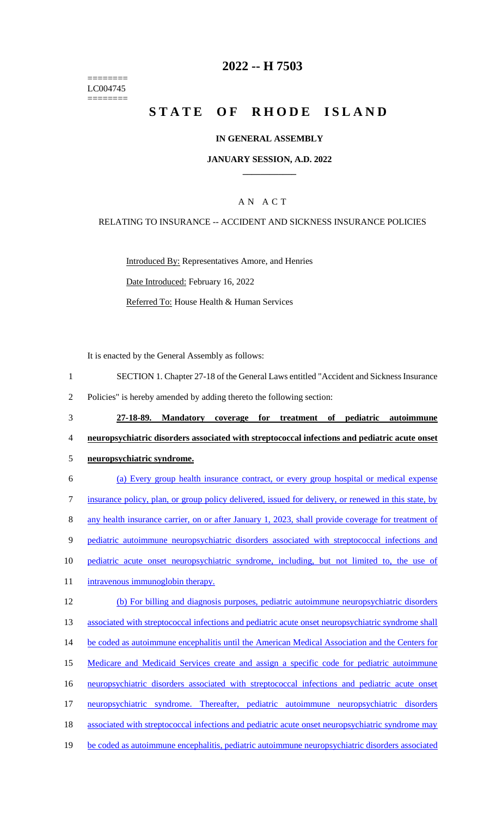======== LC004745 ========

# **2022 -- H 7503**

# **STATE OF RHODE ISLAND**

#### **IN GENERAL ASSEMBLY**

#### **JANUARY SESSION, A.D. 2022 \_\_\_\_\_\_\_\_\_\_\_\_**

### A N A C T

#### RELATING TO INSURANCE -- ACCIDENT AND SICKNESS INSURANCE POLICIES

Introduced By: Representatives Amore, and Henries Date Introduced: February 16, 2022 Referred To: House Health & Human Services

It is enacted by the General Assembly as follows:

2 Policies" is hereby amended by adding thereto the following section:

- 3 **27-18-89. Mandatory coverage for treatment of pediatric autoimmune**  4 **neuropsychiatric disorders associated with streptococcal infections and pediatric acute onset**  5 **neuropsychiatric syndrome.**
- 6 (a) Every group health insurance contract, or every group hospital or medical expense 7 insurance policy, plan, or group policy delivered, issued for delivery, or renewed in this state, by 8 any health insurance carrier, on or after January 1, 2023, shall provide coverage for treatment of 9 pediatric autoimmune neuropsychiatric disorders associated with streptococcal infections and 10 pediatric acute onset neuropsychiatric syndrome, including, but not limited to, the use of 11 intravenous immunoglobin therapy. 12 (b) For billing and diagnosis purposes, pediatric autoimmune neuropsychiatric disorders 13 associated with streptococcal infections and pediatric acute onset neuropsychiatric syndrome shall 14 be coded as autoimmune encephalitis until the American Medical Association and the Centers for 15 Medicare and Medicaid Services create and assign a specific code for pediatric autoimmune 16 neuropsychiatric disorders associated with streptococcal infections and pediatric acute onset 17 neuropsychiatric syndrome. Thereafter, pediatric autoimmune neuropsychiatric disorders 18 associated with streptococcal infections and pediatric acute onset neuropsychiatric syndrome may 19 be coded as autoimmune encephalitis, pediatric autoimmune neuropsychiatric disorders associated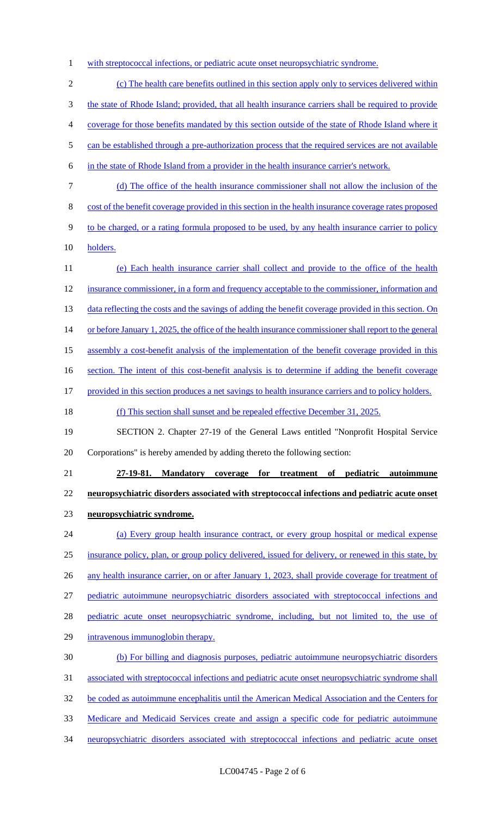1 with streptococcal infections, or pediatric acute onset neuropsychiatric syndrome.

 (c) The health care benefits outlined in this section apply only to services delivered within the state of Rhode Island; provided, that all health insurance carriers shall be required to provide coverage for those benefits mandated by this section outside of the state of Rhode Island where it 5 can be established through a pre-authorization process that the required services are not available in the state of Rhode Island from a provider in the health insurance carrier's network. (d) The office of the health insurance commissioner shall not allow the inclusion of the cost of the benefit coverage provided in this section in the health insurance coverage rates proposed 9 to be charged, or a rating formula proposed to be used, by any health insurance carrier to policy holders. (e) Each health insurance carrier shall collect and provide to the office of the health insurance commissioner, in a form and frequency acceptable to the commissioner, information and 13 data reflecting the costs and the savings of adding the benefit coverage provided in this section. On 14 or before January 1, 2025, the office of the health insurance commissioner shall report to the general assembly a cost-benefit analysis of the implementation of the benefit coverage provided in this 16 section. The intent of this cost-benefit analysis is to determine if adding the benefit coverage provided in this section produces a net savings to health insurance carriers and to policy holders. (f) This section shall sunset and be repealed effective December 31, 2025. SECTION 2. Chapter 27-19 of the General Laws entitled "Nonprofit Hospital Service Corporations" is hereby amended by adding thereto the following section: **27-19-81. Mandatory coverage for treatment of pediatric autoimmune neuropsychiatric disorders associated with streptococcal infections and pediatric acute onset neuropsychiatric syndrome.**  (a) Every group health insurance contract, or every group hospital or medical expense insurance policy, plan, or group policy delivered, issued for delivery, or renewed in this state, by 26 any health insurance carrier, on or after January 1, 2023, shall provide coverage for treatment of pediatric autoimmune neuropsychiatric disorders associated with streptococcal infections and 28 pediatric acute onset neuropsychiatric syndrome, including, but not limited to, the use of

intravenous immunoglobin therapy.

 (b) For billing and diagnosis purposes, pediatric autoimmune neuropsychiatric disorders associated with streptococcal infections and pediatric acute onset neuropsychiatric syndrome shall be coded as autoimmune encephalitis until the American Medical Association and the Centers for Medicare and Medicaid Services create and assign a specific code for pediatric autoimmune neuropsychiatric disorders associated with streptococcal infections and pediatric acute onset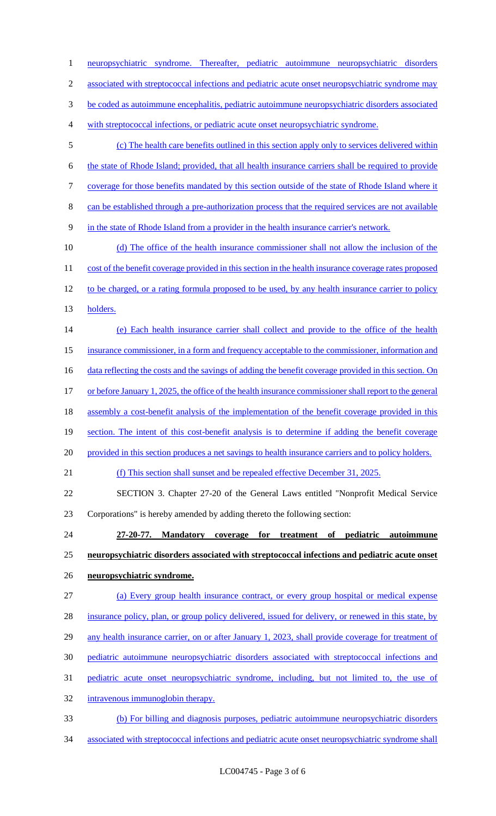neuropsychiatric syndrome. Thereafter, pediatric autoimmune neuropsychiatric disorders 2 associated with streptococcal infections and pediatric acute onset neuropsychiatric syndrome may be coded as autoimmune encephalitis, pediatric autoimmune neuropsychiatric disorders associated with streptococcal infections, or pediatric acute onset neuropsychiatric syndrome. (c) The health care benefits outlined in this section apply only to services delivered within the state of Rhode Island; provided, that all health insurance carriers shall be required to provide coverage for those benefits mandated by this section outside of the state of Rhode Island where it can be established through a pre-authorization process that the required services are not available in the state of Rhode Island from a provider in the health insurance carrier's network. 10 (d) The office of the health insurance commissioner shall not allow the inclusion of the 11 cost of the benefit coverage provided in this section in the health insurance coverage rates proposed 12 to be charged, or a rating formula proposed to be used, by any health insurance carrier to policy holders. (e) Each health insurance carrier shall collect and provide to the office of the health insurance commissioner, in a form and frequency acceptable to the commissioner, information and 16 data reflecting the costs and the savings of adding the benefit coverage provided in this section. On 17 or before January 1, 2025, the office of the health insurance commissioner shall report to the general assembly a cost-benefit analysis of the implementation of the benefit coverage provided in this 19 section. The intent of this cost-benefit analysis is to determine if adding the benefit coverage 20 provided in this section produces a net savings to health insurance carriers and to policy holders. (f) This section shall sunset and be repealed effective December 31, 2025. SECTION 3. Chapter 27-20 of the General Laws entitled "Nonprofit Medical Service Corporations" is hereby amended by adding thereto the following section: **27-20-77. Mandatory coverage for treatment of pediatric autoimmune neuropsychiatric disorders associated with streptococcal infections and pediatric acute onset neuropsychiatric syndrome.**  (a) Every group health insurance contract, or every group hospital or medical expense insurance policy, plan, or group policy delivered, issued for delivery, or renewed in this state, by 29 any health insurance carrier, on or after January 1, 2023, shall provide coverage for treatment of pediatric autoimmune neuropsychiatric disorders associated with streptococcal infections and pediatric acute onset neuropsychiatric syndrome, including, but not limited to, the use of intravenous immunoglobin therapy. (b) For billing and diagnosis purposes, pediatric autoimmune neuropsychiatric disorders

associated with streptococcal infections and pediatric acute onset neuropsychiatric syndrome shall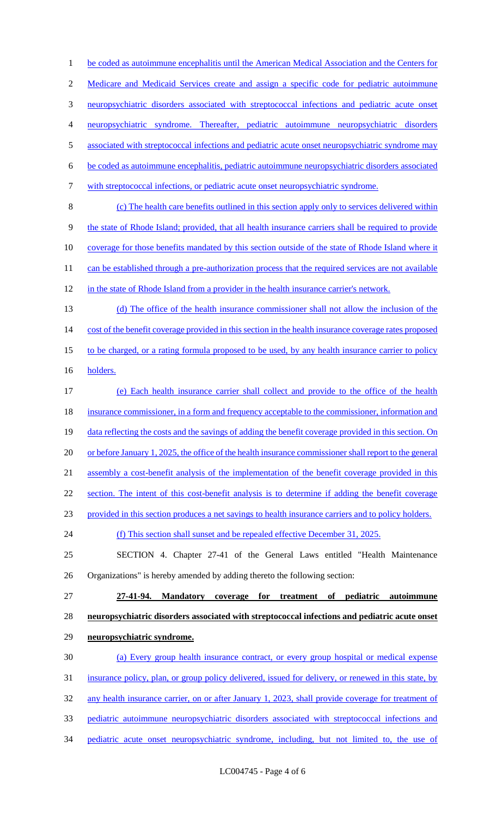1 be coded as autoimmune encephalitis until the American Medical Association and the Centers for Medicare and Medicaid Services create and assign a specific code for pediatric autoimmune neuropsychiatric disorders associated with streptococcal infections and pediatric acute onset neuropsychiatric syndrome. Thereafter, pediatric autoimmune neuropsychiatric disorders 5 associated with streptococcal infections and pediatric acute onset neuropsychiatric syndrome may be coded as autoimmune encephalitis, pediatric autoimmune neuropsychiatric disorders associated with streptococcal infections, or pediatric acute onset neuropsychiatric syndrome. (c) The health care benefits outlined in this section apply only to services delivered within the state of Rhode Island; provided, that all health insurance carriers shall be required to provide coverage for those benefits mandated by this section outside of the state of Rhode Island where it 11 can be established through a pre-authorization process that the required services are not available in the state of Rhode Island from a provider in the health insurance carrier's network. (d) The office of the health insurance commissioner shall not allow the inclusion of the 14 cost of the benefit coverage provided in this section in the health insurance coverage rates proposed 15 to be charged, or a rating formula proposed to be used, by any health insurance carrier to policy holders. (e) Each health insurance carrier shall collect and provide to the office of the health 18 insurance commissioner, in a form and frequency acceptable to the commissioner, information and 19 data reflecting the costs and the savings of adding the benefit coverage provided in this section. On 20 or before January 1, 2025, the office of the health insurance commissioner shall report to the general assembly a cost-benefit analysis of the implementation of the benefit coverage provided in this section. The intent of this cost-benefit analysis is to determine if adding the benefit coverage provided in this section produces a net savings to health insurance carriers and to policy holders. (f) This section shall sunset and be repealed effective December 31, 2025. SECTION 4. Chapter 27-41 of the General Laws entitled "Health Maintenance Organizations" is hereby amended by adding thereto the following section: **27-41-94. Mandatory coverage for treatment of pediatric autoimmune neuropsychiatric disorders associated with streptococcal infections and pediatric acute onset neuropsychiatric syndrome.**  (a) Every group health insurance contract, or every group hospital or medical expense insurance policy, plan, or group policy delivered, issued for delivery, or renewed in this state, by any health insurance carrier, on or after January 1, 2023, shall provide coverage for treatment of pediatric autoimmune neuropsychiatric disorders associated with streptococcal infections and pediatric acute onset neuropsychiatric syndrome, including, but not limited to, the use of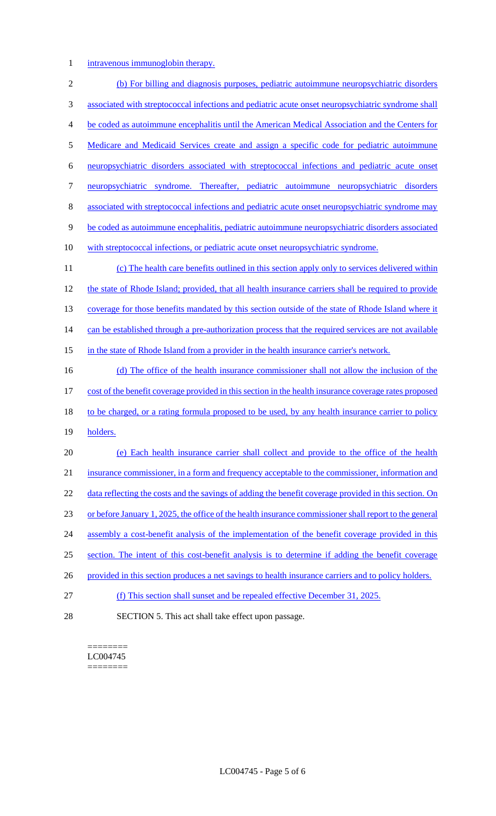1 intravenous immunoglobin therapy.

 (b) For billing and diagnosis purposes, pediatric autoimmune neuropsychiatric disorders associated with streptococcal infections and pediatric acute onset neuropsychiatric syndrome shall be coded as autoimmune encephalitis until the American Medical Association and the Centers for Medicare and Medicaid Services create and assign a specific code for pediatric autoimmune neuropsychiatric disorders associated with streptococcal infections and pediatric acute onset neuropsychiatric syndrome. Thereafter, pediatric autoimmune neuropsychiatric disorders associated with streptococcal infections and pediatric acute onset neuropsychiatric syndrome may be coded as autoimmune encephalitis, pediatric autoimmune neuropsychiatric disorders associated with streptococcal infections, or pediatric acute onset neuropsychiatric syndrome. (c) The health care benefits outlined in this section apply only to services delivered within the state of Rhode Island; provided, that all health insurance carriers shall be required to provide 13 coverage for those benefits mandated by this section outside of the state of Rhode Island where it 14 can be established through a pre-authorization process that the required services are not available 15 in the state of Rhode Island from a provider in the health insurance carrier's network. 16 (d) The office of the health insurance commissioner shall not allow the inclusion of the cost of the benefit coverage provided in this section in the health insurance coverage rates proposed 18 to be charged, or a rating formula proposed to be used, by any health insurance carrier to policy 19 holders. (e) Each health insurance carrier shall collect and provide to the office of the health insurance commissioner, in a form and frequency acceptable to the commissioner, information and 22 data reflecting the costs and the savings of adding the benefit coverage provided in this section. On or before January 1, 2025, the office of the health insurance commissioner shall report to the general 24 assembly a cost-benefit analysis of the implementation of the benefit coverage provided in this section. The intent of this cost-benefit analysis is to determine if adding the benefit coverage 26 provided in this section produces a net savings to health insurance carriers and to policy holders. (f) This section shall sunset and be repealed effective December 31, 2025. SECTION 5. This act shall take effect upon passage.

======== LC004745 ========